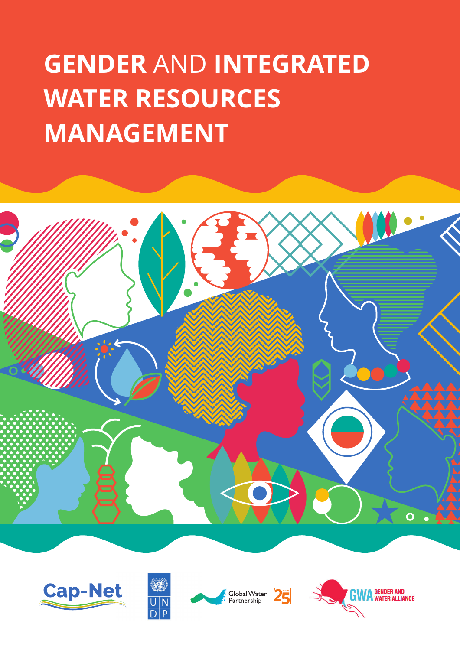# **GENDER AND INTEGRATED WATER RESOURCES MANAGEMENT**









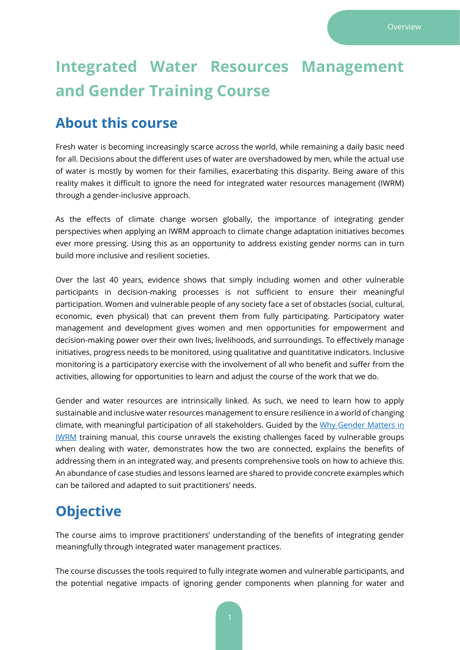# **Integrated Water Resources Management and Gender Training Course**

#### **About this course**

Fresh water is becoming increasingly scarce across the world, while remaining a daily basic need for all. Decisions about the different uses of water are overshadowed by men, while the actual use of water is mostly by women for their families, exacerbating this disparity. Being aware of this reality makes it difficult to ignore the need for integrated water resources management (IWRM) through a gender-inclusive approach.

As the effects of climate change worsen globally, the importance of integrating gender perspectives when applying an IWRM approach to climate change adaptation initiatives becomes ever more pressing. Using this as an opportunity to address existing gender norms can in turn build more inclusive and resilient societies.

Over the last 40 years, evidence shows that simply including women and other vulnerable participants in decision-making processes is not sufficient to ensure their meaningful participation. Women and vulnerable people of any society face a set of obstacles (social, cultural, economic, even physical) that can prevent them from fully participating. Participatory water management and development gives women and men opportunities for empowerment and decision-making power over their own lives, livelihoods, and surroundings. To effectively manage initiatives, progress needs to be monitored, using qualitative and quantitative indicators. Inclusive monitoring is a participatory exercise with the involvement of all who benefit and suffer from the activities, allowing for opportunities to learn and adjust the course of the work that we do.

Gender and water resources are intrinsically linked. As such, we need to learn how to apply sustainable and inclusive water resources management to ensure resilience in a world of changing climate, with meaningful participation of all stakeholders. Guided by the [Why Gender Matters in](https://cap-net.org/why-gender-matters-a-tutorial-for-water-managers-2014-popular-pdf-version/)  [IWRM](https://cap-net.org/why-gender-matters-a-tutorial-for-water-managers-2014-popular-pdf-version/) training manual, this course unravels the existing challenges faced by vulnerable groups when dealing with water, demonstrates how the two are connected, explains the benefits of addressing them in an integrated way, and presents comprehensive tools on how to achieve this. An abundance of case studies and lessons learned are shared to provide concrete examples which can be tailored and adapted to suit practitioners' needs.

# **Objective**

The course aims to improve practitioners' understanding of the benefits of integrating gender meaningfully through integrated water management practices.

The course discusses the tools required to fully integrate women and vulnerable participants, and the potential negative impacts of ignoring gender components when planning for water and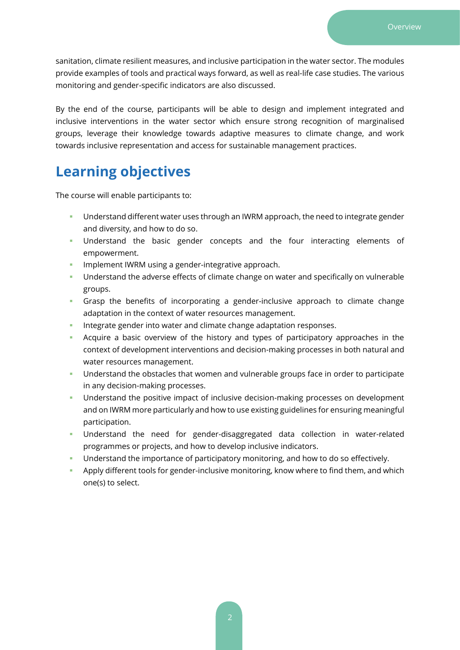sanitation, climate resilient measures, and inclusive participation in the water sector. The modules provide examples of tools and practical ways forward, as well as real-life case studies. The various monitoring and gender-specific indicators are also discussed.

By the end of the course, participants will be able to design and implement integrated and inclusive interventions in the water sector which ensure strong recognition of marginalised groups, leverage their knowledge towards adaptive measures to climate change, and work towards inclusive representation and access for sustainable management practices.

# **Learning objectives**

The course will enable participants to:

- **E** Understand different water uses through an IWRM approach, the need to integrate gender and diversity, and how to do so.
- Understand the basic gender concepts and the four interacting elements of empowerment.
- **·** Implement IWRM using a gender-integrative approach.
- **•** Understand the adverse effects of climate change on water and specifically on vulnerable groups.
- Grasp the benefits of incorporating a gender-inclusive approach to climate change adaptation in the context of water resources management.
- Integrate gender into water and climate change adaptation responses.
- Acquire a basic overview of the history and types of participatory approaches in the context of development interventions and decision-making processes in both natural and water resources management.
- **E** Understand the obstacles that women and vulnerable groups face in order to participate in any decision-making processes.
- Understand the positive impact of inclusive decision-making processes on development and on IWRM more particularly and how to use existing guidelines for ensuring meaningful participation.
- Understand the need for gender-disaggregated data collection in water-related programmes or projects, and how to develop inclusive indicators.
- **E** Understand the importance of participatory monitoring, and how to do so effectively.
- **•** Apply different tools for gender-inclusive monitoring, know where to find them, and which one(s) to select.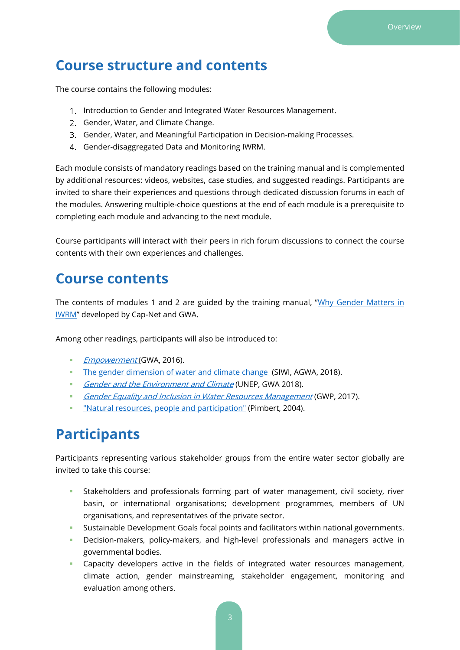#### **Course structure and contents**

The course contains the following modules:

- 1. Introduction to Gender and Integrated Water Resources Management.
- 2. Gender, Water, and Climate Change.
- Gender, Water, and Meaningful Participation in Decision-making Processes.
- Gender-disaggregated Data and Monitoring IWRM.

Each module consists of mandatory readings based on the training manual and is complemented by additional resources: videos, websites, case studies, and suggested readings. Participants are invited to share their experiences and questions through dedicated discussion forums in each of the modules. Answering multiple-choice questions at the end of each module is a prerequisite to completing each module and advancing to the next module.

Course participants will interact with their peers in rich forum discussions to connect the course contents with their own experiences and challenges.

#### **Course contents**

The contents of modules 1 and 2 are guided by the training manual, "[Why Gender Matters in](https://cap-net.org/why-gender-matters-a-tutorial-for-water-managers-2014-popular-pdf-version/)  [IWRM](https://cap-net.org/why-gender-matters-a-tutorial-for-water-managers-2014-popular-pdf-version/)" developed by Cap-Net and GWA.

Among other readings, participants will also be introduced to:

- **[Empowerment](http://genderandwater.org/en/gwa-products/capacity-building/empowerment-for-gender-equality/empowerment-four-interacting-elements-for-analysis-and-as-an-objective-for-development/at_download/file) (GWA, 2016).**
- **EXECT** [The gender dimension of water and climate change](https://www.siwi.org/publications/gender-dimension-water-climate-change/) (SIWI, AGWA, 2018).
- [Gender and the Environment and Climate](https://www.unep.org/explore-topics/disasters-conflicts/where-we-work/sudan/gender-and-environment) (UNEP, GWA 2018).
- **E** [Gender Equality](https://www.gwp.org/globalassets/global/about-gwp/publications/gender/gender-action-piece.pdf) and Inclusion in Water Resources Management (GWP, 2017).
- ["Natural resources, people and participation"](https://pubs.iied.org/sites/default/files/pdfs/migrate/G02104.pdf) (Pimbert, 2004).

#### **Participants**

Participants representing various stakeholder groups from the entire water sector globally are invited to take this course:

- Stakeholders and professionals forming part of water management, civil society, river basin, or international organisations; development programmes, members of UN organisations, and representatives of the private sector.
- **EXECTED** Sustainable Development Goals focal points and facilitators within national governments.
- **EXEC** Decision-makers, policy-makers, and high-level professionals and managers active in governmental bodies.
- **EXEC** Capacity developers active in the fields of integrated water resources management, climate action, gender mainstreaming, stakeholder engagement, monitoring and evaluation among others.